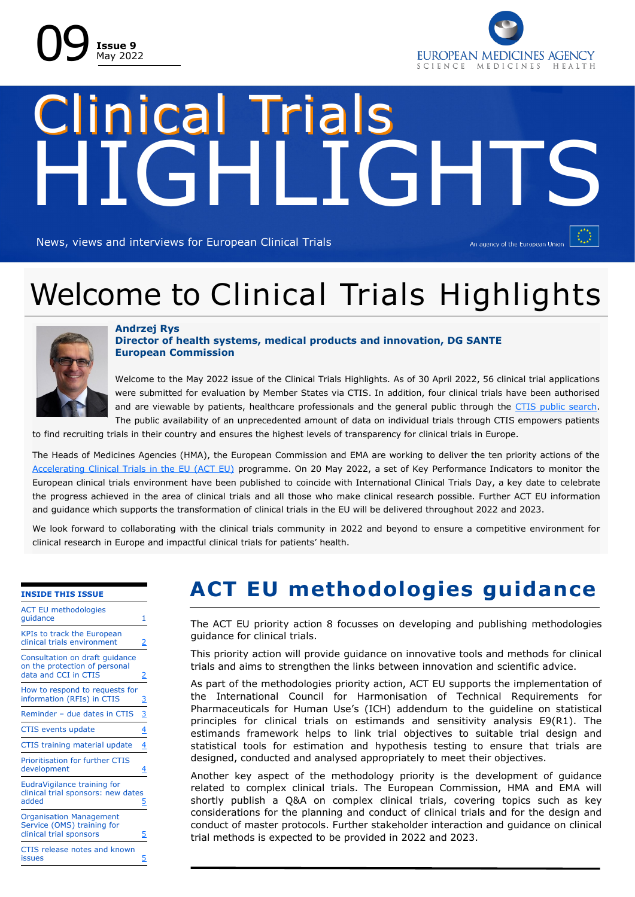



# HIGHLIGHTS Clinical Trials

News, views and interviews for European Clinical Trials

An agency of the European Union

# Welcome to Clinical Trials Highlights



### **Andrzej Rys Director of health systems, medical products and innovation, DG SANTE European Commission**

Welcome to the May 2022 issue of the Clinical Trials Highlights. As of 30 April 2022, 56 clinical trial applications were submitted for evaluation by Member States via CTIS. In addition, four clinical trials have been authorised and are viewable by patients, healthcare professionals and the general public through the [CTIS public search.](https://urldefense.com/v3/__https:/euclinicaltrials.eu/search-for-clinical-trials?p_p_id=emactsearch_WAR_emactpublicportlet&p_p_lifecycle=0&p_p_state=normal&p_p_mode=view&_emactsearch_WAR_emactpublicportlet__facesViewIdRender=*2FWEB-INF*2Fviews*2Fsearch*2F)  The public availability of an unprecedented amount of data on individual trials through CTIS empowers patients

to find recruiting trials in their country and ensures the highest levels of transparency for clinical trials in Europe.

The Heads of Medicines Agencies (HMA), the European Commission and EMA are working to deliver the ten priority actions of the [Accelerating Clinical Trials in the EU \(ACT EU\)](https://www.ema.europa.eu/en/news/accelerating-clinical-trials-eu-act-eu-better-clinical-trials-address-patients-needs) programme. On 20 May 2022, a set of Key Performance Indicators to monitor the European clinical trials environment have been published to coincide with International Clinical Trials Day, a key date to celebrate the progress achieved in the area of clinical trials and all those who make clinical research possible. Further ACT EU information and guidance which supports the transformation of clinical trials in the EU will be delivered throughout 2022 and 2023.

We look forward to collaborating with the clinical trials community in 2022 and beyond to ensure a competitive environment for clinical research in Europe and impactful clinical trials for patients' health.

#### **INSIDE THIS ISSUE**

| <b>ACT EU methodologies</b><br>quidance                                                 | 1              |
|-----------------------------------------------------------------------------------------|----------------|
| <b>KPIs to track the European</b><br>clinical trials environment                        | 2              |
| Consultation on draft guidance<br>on the protection of personal<br>data and CCI in CTIS | 2              |
| How to respond to requests for<br>information (RFIs) in CTIS                            | $\overline{3}$ |
| Reminder - due dates in CTIS                                                            | $\frac{3}{2}$  |
| <b>CTIS events update</b>                                                               | $\overline{4}$ |
| CTIS training material update                                                           | 4              |
| <b>Prioritisation for further CTIS</b><br>development                                   | 4              |
| EudraVigilance training for<br>clinical trial sponsors: new dates<br>added              | 5              |
| <b>Organisation Management</b><br>Service (OMS) training for<br>clinical trial sponsors | 5              |
| CTIS release notes and known<br>issues                                                  | 5              |

# **ACT EU methodologies guidance**

The ACT EU priority action 8 focusses on developing and publishing methodologies guidance for clinical trials.

This priority action will provide guidance on innovative tools and methods for clinical trials and aims to strengthen the links between innovation and scientific advice.

As part of the methodologies priority action, ACT EU supports the implementation of the International Council for Harmonisation of Technical Requirements for Pharmaceuticals for Human Use's (ICH) addendum to the guideline on statistical principles for clinical trials on estimands and sensitivity analysis E9(R1). The estimands framework helps to link trial objectives to suitable trial design and statistical tools for estimation and hypothesis testing to ensure that trials are designed, conducted and analysed appropriately to meet their objectives.

Another key aspect of the methodology priority is the development of guidance related to complex clinical trials. The European Commission, HMA and EMA will shortly publish a Q&A on complex clinical trials, covering topics such as key considerations for the planning and conduct of clinical trials and for the design and conduct of master protocols. Further stakeholder interaction and guidance on clinical trial methods is expected to be provided in 2022 and 2023.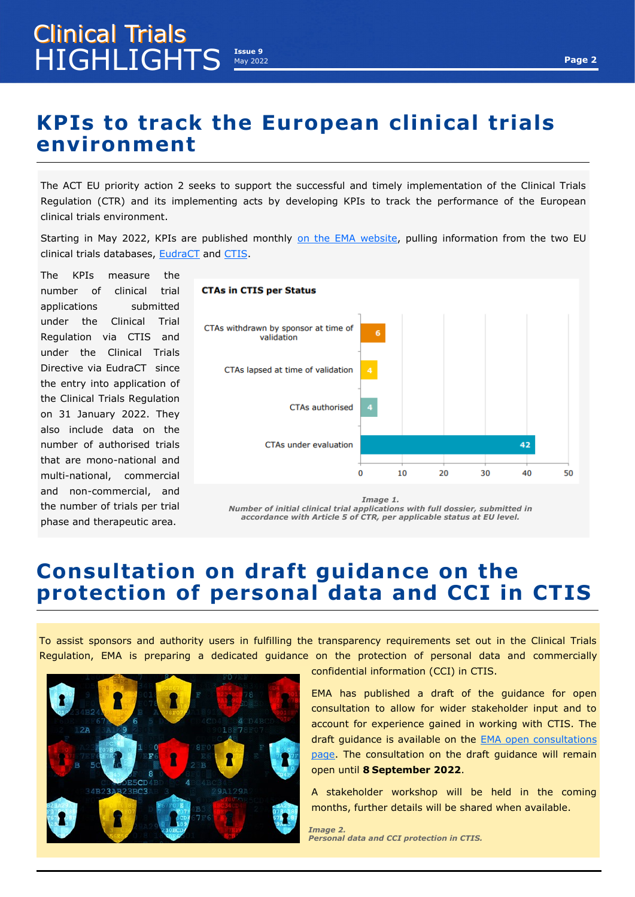# <span id="page-1-0"></span>**KPIs to track the European clinical trials environment**

The ACT EU priority action 2 seeks to support the successful and timely implementation of the Clinical Trials Regulation (CTR) and its implementing acts by developing KPIs to track the performance of the European clinical trials environment.

Starting in May 2022, KPIs are published monthly [on the EMA website,](https://www.ema.europa.eu/en/human-regulatory/research-development/clinical-trials/clinical-trials-regulation/clinical-trials-regulation-progress-implementation) pulling information from the two EU clinical trials databases, [EudraCT](https://eudract.ema.europa.eu/) and [CTIS.](https://www.ema.europa.eu/en/human-regulatory/research-development/clinical-trials/clinical-trials-information-system)

The KPIs measure the number of clinical trial applications submitted under the Clinical Trial Regulation via CTIS and under the Clinical Trials Directive via EudraCT since the entry into application of the Clinical Trials Regulation on 31 January 2022. They also include data on the number of authorised trials that are mono-national and multi-national, commercial and non-commercial, and the number of trials per trial phase and therapeutic area.



*Number of initial clinical trial applications with full dossier, submitted in accordance with Article 5 of CTR, per applicable status at EU level.* 

# **Consultation on draft guidance on the protection of personal data and CCI in CTIS**

To assist sponsors and authority users in fulfilling the transparency requirements set out in the Clinical Trials Regulation, EMA is preparing a dedicated guidance on the protection of personal data and commercially



confidential information (CCI) in CTIS.

EMA has published a draft of the guidance for open consultation to allow for wider stakeholder input and to account for experience gained in working with CTIS. The draft guidance is available on the [EMA open consultations](https://www.ema.europa.eu/en/news-events/open-consultations)  [page.](https://www.ema.europa.eu/en/news-events/open-consultations) The consultation on the draft guidance will remain open until **8 September 2022**.

A stakeholder workshop will be held in the coming months, further details will be shared when available.

*Image 2. Personal data and CCI protection in CTIS.*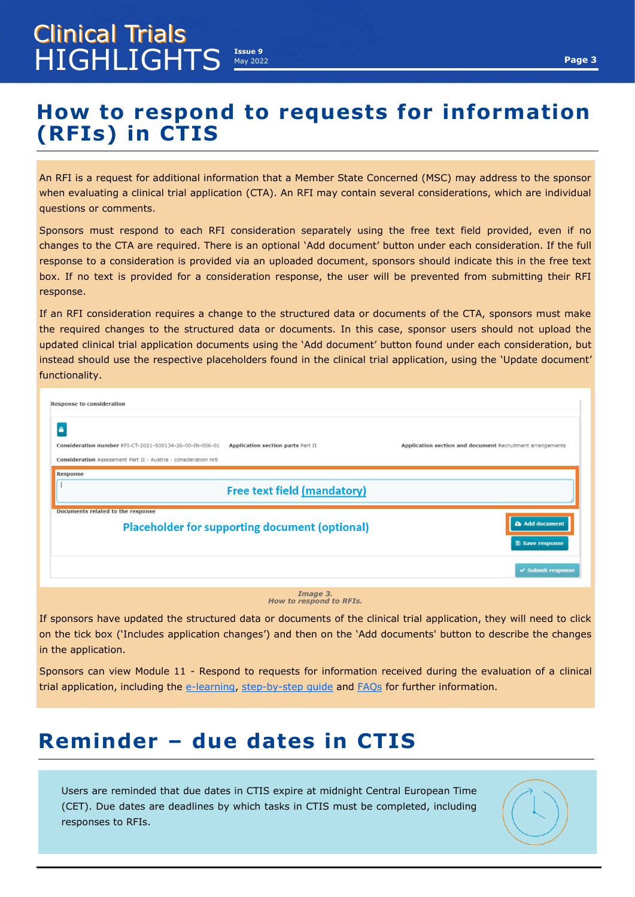# <span id="page-2-0"></span>**How to respond to requests for information (RFIs) in CTIS**

An RFI is a request for additional information that a Member State Concerned (MSC) may address to the sponsor when evaluating a clinical trial application (CTA). An RFI may contain several considerations, which are individual questions or comments.

Sponsors must respond to each RFI consideration separately using the free text field provided, even if no changes to the CTA are required. There is an optional 'Add document' button under each consideration. If the full response to a consideration is provided via an uploaded document, sponsors should indicate this in the free text box. If no text is provided for a consideration response, the user will be prevented from submitting their RFI response.

If an RFI consideration requires a change to the structured data or documents of the CTA, sponsors must make the required changes to the structured data or documents. In this case, sponsor users should not upload the updated clinical trial application documents using the 'Add document' button found under each consideration, but instead should use the respective placeholders found in the clinical trial application, using the 'Update document' functionality.

| Response to consideration                                                                                                      |                                    |                                                           |
|--------------------------------------------------------------------------------------------------------------------------------|------------------------------------|-----------------------------------------------------------|
| Α<br>Consideration number RFI-CT-2021-500134-26-00-IN-006-01<br>Consideration Assessment Part II - Austria - consideration nr8 | Application section parts Part II  | Application section and document Recruitment arrangements |
| Response                                                                                                                       | <b>Free text field (mandatory)</b> |                                                           |
| Documents related to the response<br><b>Placeholder for supporting document (optional)</b>                                     |                                    | Add document<br><b>B</b> Save response                    |
|                                                                                                                                |                                    | $\vee$ Submit response                                    |
|                                                                                                                                | Image 3.                           |                                                           |

*Image 3. How to respond to RFIs.* 

If sponsors have updated the structured data or documents of the clinical trial application, they will need to click on the tick box ('Includes application changes') and then on the 'Add documents' button to describe the changes in the application.

Sponsors can view Module 11 - Respond to requests for information received during the evaluation of a clinical trial application, including the e-[learning,](https://www.ema.europa.eu/en/learning-module/respond-to-rfis-ctis/story.html) step-by-[step guide](https://www.ema.europa.eu/en/documents/other/step-step-guide-how-respond-requests-information-received-during-evaluation-clinical-trial_en.pdf) and [FAQs](https://www.ema.europa.eu/en/documents/other/faqs-how-respond-requests-information-received-during-evaluation-clinical-trial-application-ctis_en.pdf) for further information.

# **Reminder – due dates in CTIS**

Users are reminded that due dates in CTIS expire at midnight Central European Time (CET). Due dates are deadlines by which tasks in CTIS must be completed, including responses to RFIs.

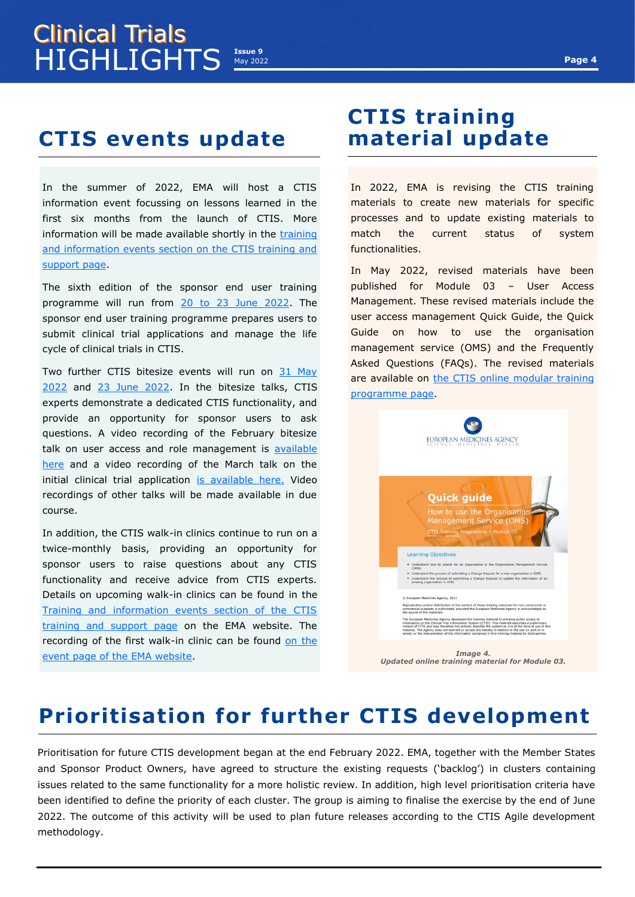# <span id="page-3-0"></span>**HIGHLIGHTS** May 2022 Clinical Trials

# **CTIS events update**

In the summer of 2022, EMA will host a CTIS information event focussing on lessons learned in the first six months from the launch of CTIS. More information will be made available shortly in the [training](https://www.ema.europa.eu/en/human-regulatory/research-development/clinical-trials/clinical-trials-information-system-training-support#training-and-information-events-section)  [and information events section on the CTIS training and](https://www.ema.europa.eu/en/human-regulatory/research-development/clinical-trials/clinical-trials-information-system-training-support#training-and-information-events-section)  [support page.](https://www.ema.europa.eu/en/human-regulatory/research-development/clinical-trials/clinical-trials-information-system-training-support#training-and-information-events-section) 

The sixth edition of the sponsor end user training programme will run from [20 to 23 June 2022.](https://www.ema.europa.eu/en/events/clinical-trials-information-system-ctis-sponsor-end-user-training-programme-june-2022) The sponsor end user training programme prepares users to submit clinical trial applications and manage the life cycle of clinical trials in CTIS.

Two further CTIS bitesize events will run on [31 May](https://www.ema.europa.eu/en/events/clinical-trials-information-system-ctis-bitesize-talk-modifications-0)  [2022](https://www.ema.europa.eu/en/events/clinical-trials-information-system-ctis-bitesize-talk-modifications-0) and [23 June 2022.](https://www.ema.europa.eu/en/events/clinical-trials-information-system-ctis-bitesize-talk-transitional-trials-additional-member-state) In the bitesize talks, CTIS experts demonstrate a dedicated CTIS functionality, and provide an opportunity for sponsor users to ask questions. A video recording of the February bitesize talk on user access and role management is available [here](https://www.ema.europa.eu/en/events/clinical-trials-information-system-ctis-bitesize-talk-user-access-role-management#video-recording-section) and a video recording of the March talk on the initial clinical trial application [is available here.](https://www.ema.europa.eu/en/events/clinical-trials-information-system-ctis-bitesize-talk-initial-clinical-trial-application#video-recording-(new)-section) Video recordings of other talks will be made available in due course.

In addition, the CTIS walk-in clinics continue to run on a twice-monthly basis, providing an opportunity for sponsor users to raise questions about any CTIS functionality and receive advice from CTIS experts. Details on upcoming walk-in clinics can be found in the [Training and information events section of the CTIS](https://www.ema.europa.eu/en/human-regulatory/research-development/clinical-trials/clinical-trials-information-system-training-support#training-and-information-events-section)  [training and support page](https://www.ema.europa.eu/en/human-regulatory/research-development/clinical-trials/clinical-trials-information-system-training-support#training-and-information-events-section) on the EMA website. The recording of the first walk-in clinic can be found on the [event page of the EMA website.](https://www.ema.europa.eu/en/events/clinical-trials-information-system-ctis-walk-clinic)

## **CTIS training material update**

In 2022, EMA is revising the CTIS training materials to create new materials for specific processes and to update existing materials to match the current status of system functionalities.

In May 2022, revised materials have been published for Module 03 – User Access Management. These revised materials include the user access management Quick Guide, the Quick Guide on how to use the organisation management service (OMS) and the Frequently Asked Questions (FAQs). The revised materials are available on the CTIS online modular training [programme page.](https://www.ema.europa.eu/en/human-regulatory/research-development/clinical-trials/clinical-trials-information-system-ctis-online-modular-training-programme#common-functionalities-for-all-registered-users-section)



# **Prioritisation for further CTIS development**

Prioritisation for future CTIS development began at the end February 2022. EMA, together with the Member States and Sponsor Product Owners, have agreed to structure the existing requests ('backlog') in clusters containing issues related to the same functionality for a more holistic review. In addition, high level prioritisation criteria have been identified to define the priority of each cluster. The group is aiming to finalise the exercise by the end of June 2022. The outcome of this activity will be used to plan future releases according to the CTIS Agile development methodology.